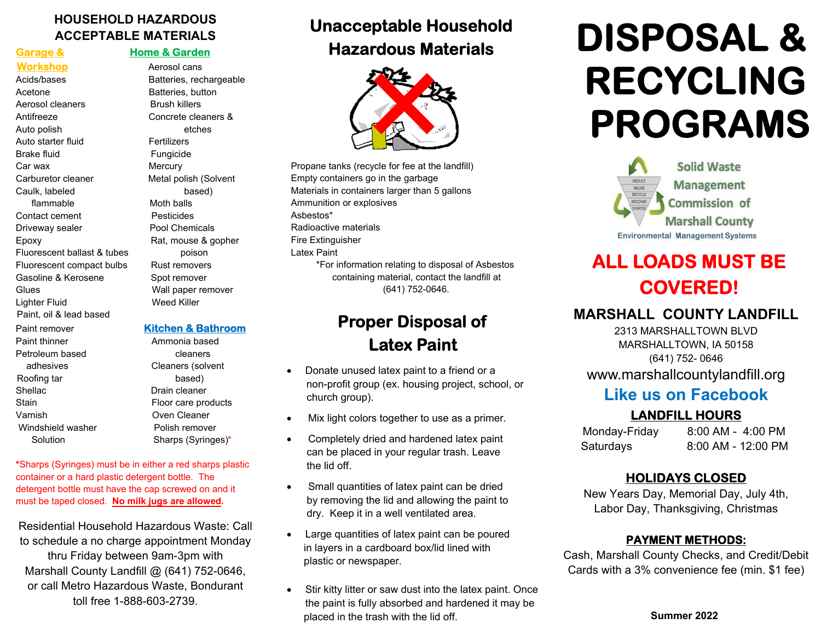#### **HOUSEHOLD HAZARDOUS ACCEPTABLE MATERIALS**

#### **Garage & Home & Garden**

Acids/bases Batteries, rechargeable Acetone **Batteries**, button Aerosol cleaners **Brush killers** Antifreeze Concrete cleaners & Auto polish etches Auto starter fluid Fertilizers Brake fluid Fungicide Car wax **Mercury** Mercury Carburetor cleaner Metal polish (Solvent Caulk, labeled based) flammable Moth balls Contact cement **Pesticides** Driveway sealer **Pool Chemicals** Epoxy **Rat, mouse & gopher** Fluorescent ballast & tubes **poison** Fluorescent compact bulbs Rust removers Gasoline & Kerosene Spot remover Glues Wall paper remover Lighter Fluid Weed Killer Paint, oil & lead based Paint remover **Kitchen & Bathroom**Paint thinner **Ammonia based** Petroleum based cleaners adhesives Cleaners (solvent Roofing tar based) Shellac **Drain cleaner** 

**Workshop Manual Aerosol cans** 

Stain Floor care products Varnish Oven Cleaner Windshield washer **Polish remover** Solution Sharps (Syringes)\*

**\***Sharps (Syringes) must be in either a red sharps plastic container or a hard plastic detergent bottle. The detergent bottle must have the cap screwed on and it must be taped closed. **No milk jugs are allowed.**

Residential Household Hazardous Waste: Call to schedule a no charge appointment Monday thru Friday between 9am-3pm with Marshall County Landfill @ (641) 752-0646, or call Metro Hazardous Waste, Bondurant toll free 1-888-603-2739.

# **Unacceptable Household Hazardous Materials**



 Propane tanks (recycle for fee at the landfill) Empty containers go in the garbage Materials in containers larger than 5 gallons Ammunition or explosives Asbestos\* Radioactive materials Fire Extinguisher Latex Paint \*For information relating to disposal of Asbestos containing material, contact the landfill at (641) 752-0646.

## **Proper Disposal of Latex Paint**

- $\bullet$  Donate unused latex paint to a friend or a non-profit group (ex. housing project, school, or church group).
- Mix light colors together to use as a primer.
- Completely dried and hardened latex paint can be placed in your regular trash. Leave the lid off.
- Small quantities of latex paint can be dried by removing the lid and allowing the paint to dry. Keep it in a well ventilated area.
- $\bullet$  Large quantities of latex paint can be poured in layers in a cardboard box/lid lined with plastic or newspaper.
- $\bullet$  Stir kitty litter or saw dust into the latex paint. Once the paint is fully absorbed and hardened it may be placed in the trash with the lid off.

# **DISPOSAL & RECYCLING PROGRAMS**



# **ALL LOADS MUST BE COVERED!**

#### **MARSHALL COUNTY LANDFILL**

2313 MARSHALLTOWN BLVD MARSHALLTOWN, IA 50158 (641) 752- 0646 www.marshallcountylandfill.org

## **Like us on Facebook**

#### **LANDFILL HOURS**

Monday-Friday 8:00 AM - 4:00 PM Saturdays 8:00 AM - 12:00 PM

#### **HOLIDAYS CLOSED**

New Years Day, Memorial Day, July 4th, Labor Day, Thanksgiving, Christmas

#### **PAYMENT METHODS:**

Cash, Marshall County Checks, and Credit/Debit Cards with a 3% convenience fee (min. \$1 fee)